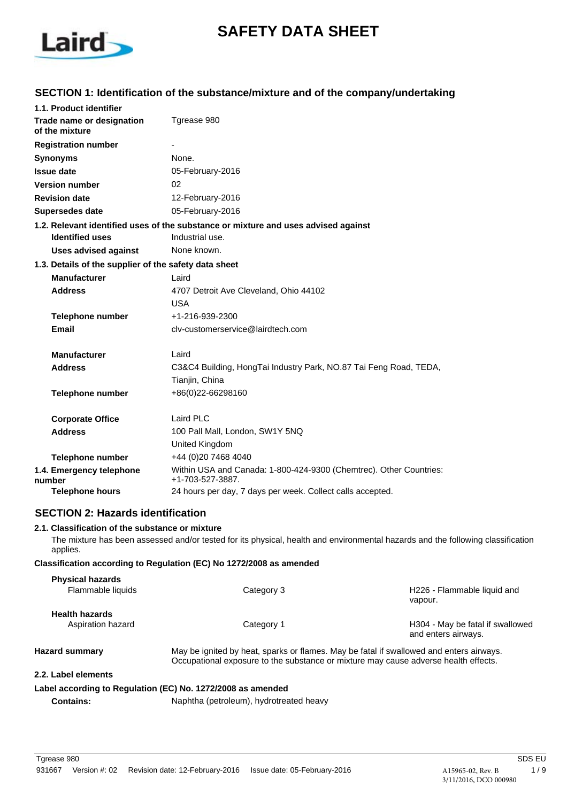

# **SAFETY DATA SHEET**

## **SECTION 1: Identification of the substance/mixture and of the company/undertaking**

| 1.1. Product identifier                               |                                                                                                       |
|-------------------------------------------------------|-------------------------------------------------------------------------------------------------------|
| Trade name or designation<br>of the mixture           | Tgrease 980                                                                                           |
| <b>Registration number</b>                            |                                                                                                       |
| <b>Synonyms</b>                                       | None.                                                                                                 |
| <b>Issue date</b>                                     | 05-February-2016                                                                                      |
| <b>Version number</b>                                 | 02                                                                                                    |
| <b>Revision date</b>                                  | 12-February-2016                                                                                      |
| <b>Supersedes date</b>                                | 05-February-2016                                                                                      |
| <b>Identified uses</b>                                | 1.2. Relevant identified uses of the substance or mixture and uses advised against<br>Industrial use. |
| <b>Uses advised against</b>                           | None known.                                                                                           |
| 1.3. Details of the supplier of the safety data sheet |                                                                                                       |
| <b>Manufacturer</b>                                   | Laird                                                                                                 |
| <b>Address</b>                                        | 4707 Detroit Ave Cleveland, Ohio 44102                                                                |
|                                                       | <b>USA</b>                                                                                            |
| <b>Telephone number</b>                               | +1-216-939-2300                                                                                       |
| Email                                                 | cly-customerservice@lairdtech.com                                                                     |
| <b>Manufacturer</b>                                   | Laird                                                                                                 |
| <b>Address</b>                                        | C3&C4 Building, HongTai Industry Park, NO.87 Tai Feng Road, TEDA,                                     |
|                                                       | Tianjin, China                                                                                        |
| <b>Telephone number</b>                               | +86(0)22-66298160                                                                                     |
| <b>Corporate Office</b>                               | Laird PLC                                                                                             |
| <b>Address</b>                                        | 100 Pall Mall, London, SW1Y 5NQ                                                                       |
|                                                       | United Kingdom                                                                                        |
| <b>Telephone number</b>                               | +44 (0)20 7468 4040                                                                                   |
| 1.4. Emergency telephone<br>number                    | Within USA and Canada: 1-800-424-9300 (Chemtrec). Other Countries:<br>+1-703-527-3887.                |
| Telephone hours                                       | 24 hours per day, 7 days per week. Collect calls accepted.                                            |

### **SECTION 2: Hazards identification**

### **2.1. Classification of the substance or mixture**

The mixture has been assessed and/or tested for its physical, health and environmental hazards and the following classification applies.

### **Classification according to Regulation (EC) No 1272/2008 as amended**

| <b>Physical hazards</b> |                                                                                                                                                                                |                                                         |
|-------------------------|--------------------------------------------------------------------------------------------------------------------------------------------------------------------------------|---------------------------------------------------------|
| Flammable liquids       | Category 3                                                                                                                                                                     | H226 - Flammable liquid and<br>vapour.                  |
| <b>Health hazards</b>   |                                                                                                                                                                                |                                                         |
| Aspiration hazard       | Category 1                                                                                                                                                                     | H304 - May be fatal if swallowed<br>and enters airways. |
| <b>Hazard summary</b>   | May be ignited by heat, sparks or flames. May be fatal if swallowed and enters airways.<br>Occupational exposure to the substance or mixture may cause adverse health effects. |                                                         |
| 2.2. Label elements     |                                                                                                                                                                                |                                                         |

## **Label according to Regulation (EC) No. 1272/2008 as amended**

**Contains:** Naphtha (petroleum), hydrotreated heavy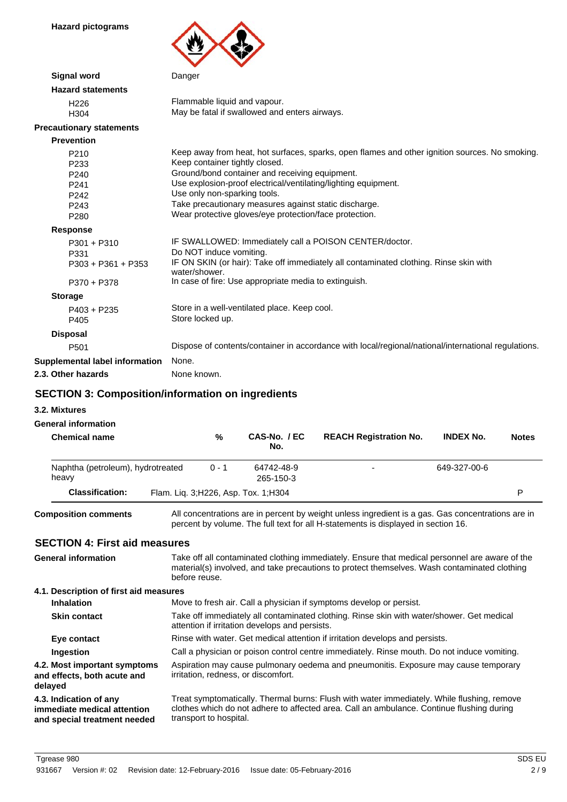**Hazard pictograms**



| <b>Signal word</b>              | Danger                                                                                                 |
|---------------------------------|--------------------------------------------------------------------------------------------------------|
| <b>Hazard statements</b>        |                                                                                                        |
| H <sub>226</sub>                | Flammable liquid and vapour.                                                                           |
| H304                            | May be fatal if swallowed and enters airways.                                                          |
| <b>Precautionary statements</b> |                                                                                                        |
| <b>Prevention</b>               |                                                                                                        |
| P210                            | Keep away from heat, hot surfaces, sparks, open flames and other ignition sources. No smoking.         |
| P <sub>233</sub>                | Keep container tightly closed.                                                                         |
| P240                            | Ground/bond container and receiving equipment.                                                         |
| P241                            | Use explosion-proof electrical/ventilating/lighting equipment.                                         |
| P <sub>242</sub>                | Use only non-sparking tools.                                                                           |
| P <sub>243</sub>                | Take precautionary measures against static discharge.                                                  |
| P <sub>280</sub>                | Wear protective gloves/eye protection/face protection.                                                 |
| <b>Response</b>                 |                                                                                                        |
| $P301 + P310$                   | IF SWALLOWED: Immediately call a POISON CENTER/doctor.                                                 |
| P331                            | Do NOT induce vomiting.                                                                                |
| $P303 + P361 + P353$            | IF ON SKIN (or hair): Take off immediately all contaminated clothing. Rinse skin with<br>water/shower. |
| P370 + P378                     | In case of fire: Use appropriate media to extinguish.                                                  |
| <b>Storage</b>                  |                                                                                                        |
| $P403 + P235$                   | Store in a well-ventilated place. Keep cool.                                                           |
| P405                            | Store locked up.                                                                                       |
| <b>Disposal</b>                 |                                                                                                        |
| P <sub>501</sub>                | Dispose of contents/container in accordance with local/regional/national/international regulations.    |
| Supplemental label information  | None.                                                                                                  |
| 2.3. Other hazards              | None known.                                                                                            |
|                                 |                                                                                                        |

### **SECTION 3: Composition/information on ingredients**

**3.2. Mixtures**

### **General information**

| <b>Chemical name</b>                       | %       | CAS-No. / EC<br>No.                   | <b>REACH Registration No.</b> | <b>INDEX No.</b> | <b>Notes</b> |
|--------------------------------------------|---------|---------------------------------------|-------------------------------|------------------|--------------|
| Naphtha (petroleum), hydrotreated<br>heavy | $0 - 1$ | 64742-48-9<br>265-150-3               |                               | 649-327-00-6     |              |
| <b>Classification:</b>                     |         | Flam. Lig. 3; H226, Asp. Tox. 1; H304 |                               |                  | P            |
|                                            |         |                                       |                               |                  |              |

**Composition comments**

All concentrations are in percent by weight unless ingredient is a gas. Gas concentrations are in percent by volume. The full text for all H-statements is displayed in section 16.

### **SECTION 4: First aid measures**

| <b>SECTION 4: First aid measures</b>                                                  |                                                                                                                                                                                                                   |
|---------------------------------------------------------------------------------------|-------------------------------------------------------------------------------------------------------------------------------------------------------------------------------------------------------------------|
| <b>General information</b>                                                            | Take off all contaminated clothing immediately. Ensure that medical personnel are aware of the<br>material(s) involved, and take precautions to protect themselves. Wash contaminated clothing<br>before reuse.   |
| 4.1. Description of first aid measures                                                |                                                                                                                                                                                                                   |
| <b>Inhalation</b>                                                                     | Move to fresh air. Call a physician if symptoms develop or persist.                                                                                                                                               |
| <b>Skin contact</b>                                                                   | Take off immediately all contaminated clothing. Rinse skin with water/shower. Get medical<br>attention if irritation develops and persists.                                                                       |
| Eye contact                                                                           | Rinse with water. Get medical attention if irritation develops and persists.                                                                                                                                      |
| Ingestion                                                                             | Call a physician or poison control centre immediately. Rinse mouth. Do not induce vomiting.                                                                                                                       |
| 4.2. Most important symptoms<br>and effects, both acute and<br>delayed                | Aspiration may cause pulmonary oedema and pneumonitis. Exposure may cause temporary<br>irritation, redness, or discomfort.                                                                                        |
| 4.3. Indication of any<br>immediate medical attention<br>and special treatment needed | Treat symptomatically. Thermal burns: Flush with water immediately. While flushing, remove<br>clothes which do not adhere to affected area. Call an ambulance. Continue flushing during<br>transport to hospital. |
|                                                                                       |                                                                                                                                                                                                                   |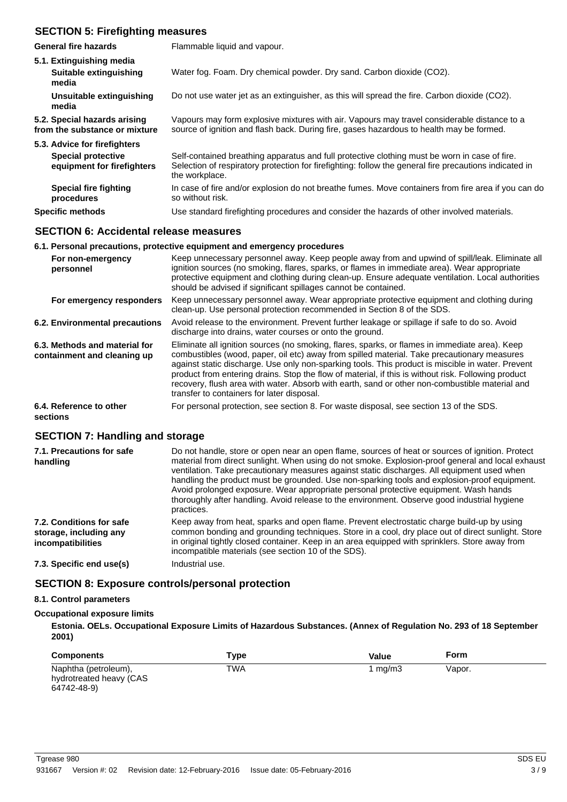## **SECTION 5: Firefighting measures**

| <b>General fire hazards</b>                                   | Flammable liquid and vapour.                                                                                                                                                                                              |
|---------------------------------------------------------------|---------------------------------------------------------------------------------------------------------------------------------------------------------------------------------------------------------------------------|
| 5.1. Extinguishing media<br>Suitable extinguishing<br>media   | Water fog. Foam. Dry chemical powder. Dry sand. Carbon dioxide (CO2).                                                                                                                                                     |
| Unsuitable extinguishing<br>media                             | Do not use water jet as an extinguisher, as this will spread the fire. Carbon dioxide (CO2).                                                                                                                              |
| 5.2. Special hazards arising<br>from the substance or mixture | Vapours may form explosive mixtures with air. Vapours may travel considerable distance to a<br>source of ignition and flash back. During fire, gases hazardous to health may be formed.                                   |
| 5.3. Advice for firefighters                                  |                                                                                                                                                                                                                           |
| <b>Special protective</b><br>equipment for firefighters       | Self-contained breathing apparatus and full protective clothing must be worn in case of fire.<br>Selection of respiratory protection for firefighting: follow the general fire precautions indicated in<br>the workplace. |
| <b>Special fire fighting</b><br>procedures                    | In case of fire and/or explosion do not breathe fumes. Move containers from fire area if you can do<br>so without risk.                                                                                                   |
| <b>Specific methods</b>                                       | Use standard firefighting procedures and consider the hazards of other involved materials.                                                                                                                                |
|                                                               |                                                                                                                                                                                                                           |

### **SECTION 6: Accidental release measures**

|                                                              | 6.1. Personal precautions, protective equipment and emergency procedures                                                                                                                                                                                                                                                                                                                                                                                                                                                                                  |
|--------------------------------------------------------------|-----------------------------------------------------------------------------------------------------------------------------------------------------------------------------------------------------------------------------------------------------------------------------------------------------------------------------------------------------------------------------------------------------------------------------------------------------------------------------------------------------------------------------------------------------------|
| For non-emergency<br>personnel                               | Keep unnecessary personnel away. Keep people away from and upwind of spill/leak. Eliminate all<br>ignition sources (no smoking, flares, sparks, or flames in immediate area). Wear appropriate<br>protective equipment and clothing during clean-up. Ensure adequate ventilation. Local authorities<br>should be advised if significant spillages cannot be contained.                                                                                                                                                                                    |
| For emergency responders                                     | Keep unnecessary personnel away. Wear appropriate protective equipment and clothing during<br>clean-up. Use personal protection recommended in Section 8 of the SDS.                                                                                                                                                                                                                                                                                                                                                                                      |
| 6.2. Environmental precautions                               | Avoid release to the environment. Prevent further leakage or spillage if safe to do so. Avoid<br>discharge into drains, water courses or onto the ground.                                                                                                                                                                                                                                                                                                                                                                                                 |
| 6.3. Methods and material for<br>containment and cleaning up | Eliminate all ignition sources (no smoking, flares, sparks, or flames in immediate area). Keep<br>combustibles (wood, paper, oil etc) away from spilled material. Take precautionary measures<br>against static discharge. Use only non-sparking tools. This product is miscible in water. Prevent<br>product from entering drains. Stop the flow of material, if this is without risk. Following product<br>recovery, flush area with water. Absorb with earth, sand or other non-combustible material and<br>transfer to containers for later disposal. |
| 6.4. Reference to other<br>sections                          | For personal protection, see section 8. For waste disposal, see section 13 of the SDS.                                                                                                                                                                                                                                                                                                                                                                                                                                                                    |

### **SECTION 7: Handling and storage**

| 7.1. Precautions for safe<br>handling                                   | Do not handle, store or open near an open flame, sources of heat or sources of ignition. Protect<br>material from direct sunlight. When using do not smoke. Explosion-proof general and local exhaust<br>ventilation. Take precautionary measures against static discharges. All equipment used when<br>handling the product must be grounded. Use non-sparking tools and explosion-proof equipment.<br>Avoid prolonged exposure. Wear appropriate personal protective equipment. Wash hands<br>thoroughly after handling. Avoid release to the environment. Observe good industrial hygiene<br>practices. |
|-------------------------------------------------------------------------|------------------------------------------------------------------------------------------------------------------------------------------------------------------------------------------------------------------------------------------------------------------------------------------------------------------------------------------------------------------------------------------------------------------------------------------------------------------------------------------------------------------------------------------------------------------------------------------------------------|
| 7.2. Conditions for safe<br>storage, including any<br>incompatibilities | Keep away from heat, sparks and open flame. Prevent electrostatic charge build-up by using<br>common bonding and grounding techniques. Store in a cool, dry place out of direct sunlight. Store<br>in original tightly closed container. Keep in an area equipped with sprinklers. Store away from<br>incompatible materials (see section 10 of the SDS).                                                                                                                                                                                                                                                  |
| 7.3. Specific end use(s)                                                | Industrial use.                                                                                                                                                                                                                                                                                                                                                                                                                                                                                                                                                                                            |

### **SECTION 8: Exposure controls/personal protection**

## **8.1. Control parameters**

### **Occupational exposure limits**

**Estonia. OELs. Occupational Exposure Limits of Hazardous Substances. (Annex of Regulation No. 293 of 18 September 2001)**

| <b>Components</b>                                              | Type | Value   | <b>Form</b> |
|----------------------------------------------------------------|------|---------|-------------|
| Naphtha (petroleum),<br>hydrotreated heavy (CAS<br>64742-48-9) | TWA  | 1 ma/m3 | Vapor.      |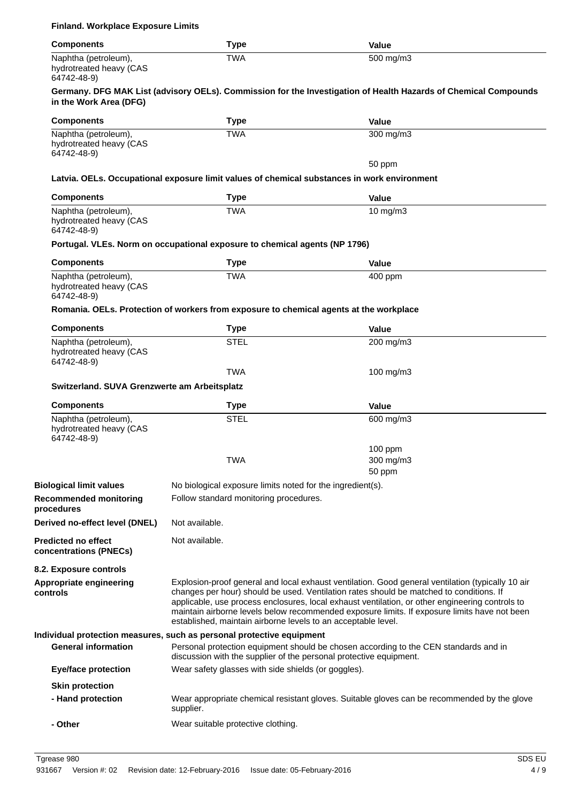| <b>Components</b>                                              | <b>Type</b>                                                                                                                                                | <b>Value</b>                                                                                                                                                                                                                                                                                                                                                                                    |
|----------------------------------------------------------------|------------------------------------------------------------------------------------------------------------------------------------------------------------|-------------------------------------------------------------------------------------------------------------------------------------------------------------------------------------------------------------------------------------------------------------------------------------------------------------------------------------------------------------------------------------------------|
| Naphtha (petroleum),<br>hydrotreated heavy (CAS<br>64742-48-9) | <b>TWA</b>                                                                                                                                                 | 500 mg/m3                                                                                                                                                                                                                                                                                                                                                                                       |
| in the Work Area (DFG)                                         |                                                                                                                                                            | Germany. DFG MAK List (advisory OELs). Commission for the Investigation of Health Hazards of Chemical Compounds                                                                                                                                                                                                                                                                                 |
| <b>Components</b>                                              | <b>Type</b>                                                                                                                                                | <b>Value</b>                                                                                                                                                                                                                                                                                                                                                                                    |
| Naphtha (petroleum),<br>hydrotreated heavy (CAS<br>64742-48-9) | <b>TWA</b>                                                                                                                                                 | 300 mg/m3                                                                                                                                                                                                                                                                                                                                                                                       |
|                                                                | Latvia. OELs. Occupational exposure limit values of chemical substances in work environment                                                                | 50 ppm                                                                                                                                                                                                                                                                                                                                                                                          |
| <b>Components</b>                                              | <b>Type</b>                                                                                                                                                | <b>Value</b>                                                                                                                                                                                                                                                                                                                                                                                    |
| Naphtha (petroleum),<br>hydrotreated heavy (CAS<br>64742-48-9) | <b>TWA</b>                                                                                                                                                 | $10 \text{ mg/m}$ 3                                                                                                                                                                                                                                                                                                                                                                             |
|                                                                | Portugal. VLEs. Norm on occupational exposure to chemical agents (NP 1796)                                                                                 |                                                                                                                                                                                                                                                                                                                                                                                                 |
| <b>Components</b>                                              | <b>Type</b>                                                                                                                                                | <b>Value</b>                                                                                                                                                                                                                                                                                                                                                                                    |
| Naphtha (petroleum),<br>hydrotreated heavy (CAS<br>64742-48-9) | <b>TWA</b>                                                                                                                                                 | 400 ppm                                                                                                                                                                                                                                                                                                                                                                                         |
|                                                                | Romania. OELs. Protection of workers from exposure to chemical agents at the workplace                                                                     |                                                                                                                                                                                                                                                                                                                                                                                                 |
| <b>Components</b>                                              | <b>Type</b>                                                                                                                                                | <b>Value</b>                                                                                                                                                                                                                                                                                                                                                                                    |
| Naphtha (petroleum),<br>hydrotreated heavy (CAS<br>64742-48-9) | <b>STEL</b>                                                                                                                                                | 200 mg/m3                                                                                                                                                                                                                                                                                                                                                                                       |
|                                                                | <b>TWA</b>                                                                                                                                                 | 100 mg/m3                                                                                                                                                                                                                                                                                                                                                                                       |
| Switzerland. SUVA Grenzwerte am Arbeitsplatz                   |                                                                                                                                                            |                                                                                                                                                                                                                                                                                                                                                                                                 |
| <b>Components</b>                                              | <b>Type</b>                                                                                                                                                | <b>Value</b>                                                                                                                                                                                                                                                                                                                                                                                    |
| Naphtha (petroleum),<br>hydrotreated heavy (CAS<br>64742-48-9) | <b>STEL</b>                                                                                                                                                | 600 mg/m3                                                                                                                                                                                                                                                                                                                                                                                       |
|                                                                | <b>TWA</b>                                                                                                                                                 | $100$ ppm<br>300 mg/m3<br>50 ppm                                                                                                                                                                                                                                                                                                                                                                |
| <b>Biological limit values</b>                                 | No biological exposure limits noted for the ingredient(s).                                                                                                 |                                                                                                                                                                                                                                                                                                                                                                                                 |
| <b>Recommended monitoring</b><br>procedures                    | Follow standard monitoring procedures.                                                                                                                     |                                                                                                                                                                                                                                                                                                                                                                                                 |
| Derived no-effect level (DNEL)                                 | Not available.                                                                                                                                             |                                                                                                                                                                                                                                                                                                                                                                                                 |
| <b>Predicted no effect</b><br>concentrations (PNECs)           | Not available.                                                                                                                                             |                                                                                                                                                                                                                                                                                                                                                                                                 |
| 8.2. Exposure controls                                         |                                                                                                                                                            |                                                                                                                                                                                                                                                                                                                                                                                                 |
| <b>Appropriate engineering</b><br>controls                     | established, maintain airborne levels to an acceptable level.                                                                                              | Explosion-proof general and local exhaust ventilation. Good general ventilation (typically 10 air<br>changes per hour) should be used. Ventilation rates should be matched to conditions. If<br>applicable, use process enclosures, local exhaust ventilation, or other engineering controls to<br>maintain airborne levels below recommended exposure limits. If exposure limits have not been |
|                                                                | Individual protection measures, such as personal protective equipment                                                                                      |                                                                                                                                                                                                                                                                                                                                                                                                 |
| <b>General information</b>                                     | Personal protection equipment should be chosen according to the CEN standards and in<br>discussion with the supplier of the personal protective equipment. |                                                                                                                                                                                                                                                                                                                                                                                                 |
| <b>Eye/face protection</b>                                     | Wear safety glasses with side shields (or goggles).                                                                                                        |                                                                                                                                                                                                                                                                                                                                                                                                 |
| <b>Skin protection</b>                                         |                                                                                                                                                            |                                                                                                                                                                                                                                                                                                                                                                                                 |
| - Hand protection                                              | supplier.                                                                                                                                                  | Wear appropriate chemical resistant gloves. Suitable gloves can be recommended by the glove                                                                                                                                                                                                                                                                                                     |
| - Other                                                        | Wear suitable protective clothing.                                                                                                                         |                                                                                                                                                                                                                                                                                                                                                                                                 |

**Finland. Workplace Exposure Limits**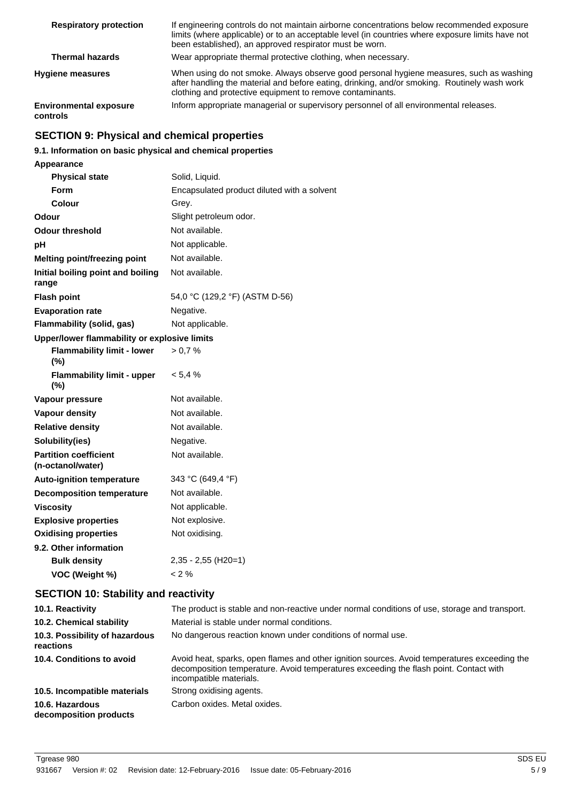| <b>Respiratory protection</b>             | If engineering controls do not maintain airborne concentrations below recommended exposure<br>limits (where applicable) or to an acceptable level (in countries where exposure limits have not<br>been established), an approved respirator must be worn. |
|-------------------------------------------|-----------------------------------------------------------------------------------------------------------------------------------------------------------------------------------------------------------------------------------------------------------|
| <b>Thermal hazards</b>                    | Wear appropriate thermal protective clothing, when necessary.                                                                                                                                                                                             |
| <b>Hygiene measures</b>                   | When using do not smoke. Always observe good personal hygiene measures, such as washing<br>after handling the material and before eating, drinking, and/or smoking. Routinely wash work<br>clothing and protective equipment to remove contaminants.      |
| <b>Environmental exposure</b><br>controls | Inform appropriate managerial or supervisory personnel of all environmental releases.                                                                                                                                                                     |

## **SECTION 9: Physical and chemical properties**

### **9.1. Information on basic physical and chemical properties**

| Appearance                                        |                                             |
|---------------------------------------------------|---------------------------------------------|
| <b>Physical state</b>                             | Solid, Liquid.                              |
| <b>Form</b>                                       | Encapsulated product diluted with a solvent |
| Colour                                            | Grey.                                       |
| Odour                                             | Slight petroleum odor.                      |
| <b>Odour threshold</b>                            | Not available.                              |
| рH                                                | Not applicable.                             |
| <b>Melting point/freezing point</b>               | Not available.                              |
| Initial boiling point and boiling<br>range        | Not available.                              |
| <b>Flash point</b>                                | 54,0 °C (129,2 °F) (ASTM D-56)              |
| <b>Evaporation rate</b>                           | Negative.                                   |
| Flammability (solid, gas)                         | Not applicable.                             |
| Upper/lower flammability or explosive limits      |                                             |
| <b>Flammability limit - lower</b><br>(%)          | > 0.7 %                                     |
| <b>Flammability limit - upper</b><br>$(\% )$      | $< 5.4 \%$                                  |
| Vapour pressure                                   | Not available.                              |
| <b>Vapour density</b>                             | Not available.                              |
| <b>Relative density</b>                           | Not available.                              |
| Solubility(ies)                                   | Negative.                                   |
| <b>Partition coefficient</b><br>(n-octanol/water) | Not available.                              |
| <b>Auto-ignition temperature</b>                  | 343 °C (649,4 °F)                           |
| <b>Decomposition temperature</b>                  | Not available.                              |
| <b>Viscosity</b>                                  | Not applicable.                             |
| <b>Explosive properties</b>                       | Not explosive.                              |
| <b>Oxidising properties</b>                       | Not oxidising.                              |
| 9.2. Other information                            |                                             |
| <b>Bulk density</b>                               | $2,35 - 2,55$ (H20=1)                       |
| VOC (Weight %)                                    | < 2 %                                       |

## **SECTION 10: Stability and reactivity**

| 10.1. Reactivity                            | The product is stable and non-reactive under normal conditions of use, storage and transport.                                                                                                                    |  |  |
|---------------------------------------------|------------------------------------------------------------------------------------------------------------------------------------------------------------------------------------------------------------------|--|--|
| 10.2. Chemical stability                    | Material is stable under normal conditions.                                                                                                                                                                      |  |  |
| 10.3. Possibility of hazardous<br>reactions | No dangerous reaction known under conditions of normal use.                                                                                                                                                      |  |  |
| 10.4. Conditions to avoid                   | Avoid heat, sparks, open flames and other ignition sources. Avoid temperatures exceeding the<br>decomposition temperature. Avoid temperatures exceeding the flash point. Contact with<br>incompatible materials. |  |  |
| 10.5. Incompatible materials                | Strong oxidising agents.                                                                                                                                                                                         |  |  |
| 10.6. Hazardous<br>decomposition products   | Carbon oxides. Metal oxides.                                                                                                                                                                                     |  |  |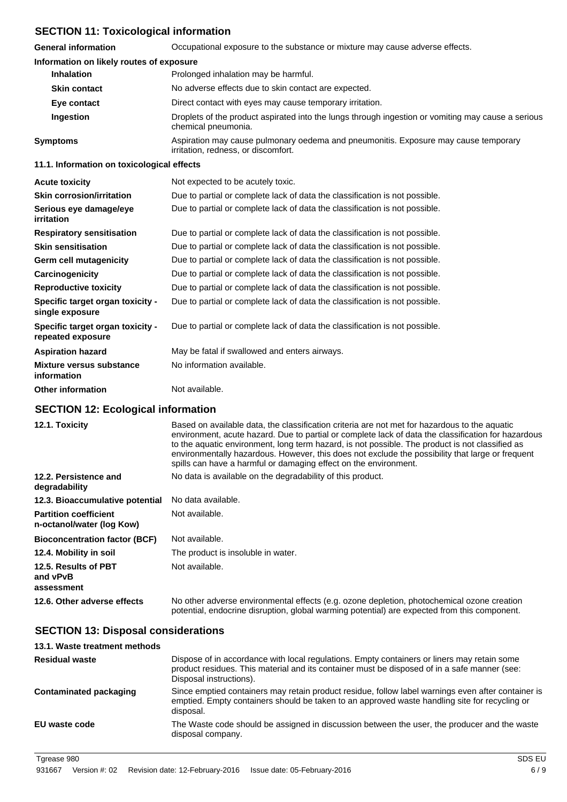## **SECTION 11: Toxicological information**

**General information** Occupational exposure to the substance or mixture may cause adverse effects.

| Information on likely routes of exposure              |                                                                                                                            |  |
|-------------------------------------------------------|----------------------------------------------------------------------------------------------------------------------------|--|
| <b>Inhalation</b>                                     | Prolonged inhalation may be harmful.                                                                                       |  |
| <b>Skin contact</b>                                   | No adverse effects due to skin contact are expected.                                                                       |  |
| Eye contact                                           | Direct contact with eyes may cause temporary irritation.                                                                   |  |
| Ingestion                                             | Droplets of the product aspirated into the lungs through ingestion or vomiting may cause a serious<br>chemical pneumonia.  |  |
| <b>Symptoms</b>                                       | Aspiration may cause pulmonary oedema and pneumonitis. Exposure may cause temporary<br>irritation, redness, or discomfort. |  |
| 11.1. Information on toxicological effects            |                                                                                                                            |  |
| <b>Acute toxicity</b>                                 | Not expected to be acutely toxic.                                                                                          |  |
| <b>Skin corrosion/irritation</b>                      | Due to partial or complete lack of data the classification is not possible.                                                |  |
| Serious eye damage/eye<br>irritation                  | Due to partial or complete lack of data the classification is not possible.                                                |  |
| <b>Respiratory sensitisation</b>                      | Due to partial or complete lack of data the classification is not possible.                                                |  |
| <b>Skin sensitisation</b>                             | Due to partial or complete lack of data the classification is not possible.                                                |  |
| <b>Germ cell mutagenicity</b>                         | Due to partial or complete lack of data the classification is not possible.                                                |  |
| Carcinogenicity                                       | Due to partial or complete lack of data the classification is not possible.                                                |  |
| <b>Reproductive toxicity</b>                          | Due to partial or complete lack of data the classification is not possible.                                                |  |
| Specific target organ toxicity -<br>single exposure   | Due to partial or complete lack of data the classification is not possible.                                                |  |
| Specific target organ toxicity -<br>repeated exposure | Due to partial or complete lack of data the classification is not possible.                                                |  |
| <b>Aspiration hazard</b>                              | May be fatal if swallowed and enters airways.                                                                              |  |
| Mixture versus substance<br>information               | No information available.                                                                                                  |  |
| <b>Other information</b>                              | Not available.                                                                                                             |  |
|                                                       |                                                                                                                            |  |

### **SECTION 12: Ecological information**

| 12.1. Toxicity                                            | Based on available data, the classification criteria are not met for hazardous to the aquatic<br>environment, acute hazard. Due to partial or complete lack of data the classification for hazardous<br>to the aquatic environment, long term hazard, is not possible. The product is not classified as<br>environmentally hazardous. However, this does not exclude the possibility that large or frequent<br>spills can have a harmful or damaging effect on the environment. |
|-----------------------------------------------------------|---------------------------------------------------------------------------------------------------------------------------------------------------------------------------------------------------------------------------------------------------------------------------------------------------------------------------------------------------------------------------------------------------------------------------------------------------------------------------------|
| 12.2. Persistence and<br>degradability                    | No data is available on the degradability of this product.                                                                                                                                                                                                                                                                                                                                                                                                                      |
| 12.3. Bioaccumulative potential                           | No data available.                                                                                                                                                                                                                                                                                                                                                                                                                                                              |
| <b>Partition coefficient</b><br>n-octanol/water (log Kow) | Not available.                                                                                                                                                                                                                                                                                                                                                                                                                                                                  |
| <b>Bioconcentration factor (BCF)</b>                      | Not available.                                                                                                                                                                                                                                                                                                                                                                                                                                                                  |
| 12.4. Mobility in soil                                    | The product is insoluble in water.                                                                                                                                                                                                                                                                                                                                                                                                                                              |
| 12.5. Results of PBT<br>and vPvB<br>assessment            | Not available.                                                                                                                                                                                                                                                                                                                                                                                                                                                                  |
| 12.6. Other adverse effects                               | No other adverse environmental effects (e.g. ozone depletion, photochemical ozone creation<br>potential, endocrine disruption, global warming potential) are expected from this component.                                                                                                                                                                                                                                                                                      |

## **SECTION 13: Disposal considerations**

| 13.1. Waste treatment methods |                                                                                                                                                                                                                        |
|-------------------------------|------------------------------------------------------------------------------------------------------------------------------------------------------------------------------------------------------------------------|
| <b>Residual waste</b>         | Dispose of in accordance with local regulations. Empty containers or liners may retain some<br>product residues. This material and its container must be disposed of in a safe manner (see:<br>Disposal instructions). |
| Contaminated packaging        | Since emptied containers may retain product residue, follow label warnings even after container is<br>emptied. Empty containers should be taken to an approved waste handling site for recycling or<br>disposal.       |
| EU waste code                 | The Waste code should be assigned in discussion between the user, the producer and the waste<br>disposal company.                                                                                                      |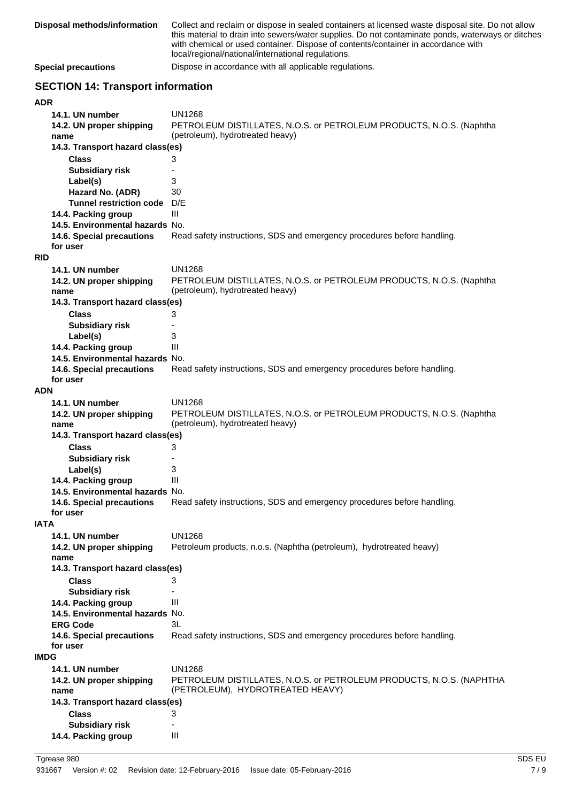| Disposal methods/information             | Collect and reclaim or dispose in sealed containers at licensed waste disposal site. Do not allow<br>this material to drain into sewers/water supplies. Do not contaminate ponds, waterways or ditches<br>with chemical or used container. Dispose of contents/container in accordance with<br>local/regional/national/international regulations. |  |
|------------------------------------------|---------------------------------------------------------------------------------------------------------------------------------------------------------------------------------------------------------------------------------------------------------------------------------------------------------------------------------------------------|--|
| <b>Special precautions</b>               | Dispose in accordance with all applicable regulations.                                                                                                                                                                                                                                                                                            |  |
| <b>SECTION 14: Transport information</b> |                                                                                                                                                                                                                                                                                                                                                   |  |
| <b>ADR</b>                               |                                                                                                                                                                                                                                                                                                                                                   |  |
| 14.1. UN number                          | <b>UN1268</b>                                                                                                                                                                                                                                                                                                                                     |  |
| 14.2. UN proper shipping                 | PETROLEUM DISTILLATES, N.O.S. or PETROLEUM PRODUCTS, N.O.S. (Naphtha                                                                                                                                                                                                                                                                              |  |
| name                                     | (petroleum), hydrotreated heavy)                                                                                                                                                                                                                                                                                                                  |  |
| 14.3. Transport hazard class(es)         |                                                                                                                                                                                                                                                                                                                                                   |  |
|                                          |                                                                                                                                                                                                                                                                                                                                                   |  |
| <b>Class</b>                             | 3                                                                                                                                                                                                                                                                                                                                                 |  |
| <b>Subsidiary risk</b>                   |                                                                                                                                                                                                                                                                                                                                                   |  |
| Label(s)                                 | 3                                                                                                                                                                                                                                                                                                                                                 |  |
| Hazard No. (ADR)                         | 30                                                                                                                                                                                                                                                                                                                                                |  |
| <b>Tunnel restriction code</b>           | D/E                                                                                                                                                                                                                                                                                                                                               |  |
| 14.4. Packing group                      | Ш                                                                                                                                                                                                                                                                                                                                                 |  |
| 14.5. Environmental hazards No.          |                                                                                                                                                                                                                                                                                                                                                   |  |
| 14.6. Special precautions                | Read safety instructions, SDS and emergency procedures before handling.                                                                                                                                                                                                                                                                           |  |
| for user                                 |                                                                                                                                                                                                                                                                                                                                                   |  |
| <b>RID</b>                               |                                                                                                                                                                                                                                                                                                                                                   |  |
| 14.1. UN number                          | <b>UN1268</b>                                                                                                                                                                                                                                                                                                                                     |  |
| 14.2. UN proper shipping                 | PETROLEUM DISTILLATES, N.O.S. or PETROLEUM PRODUCTS, N.O.S. (Naphtha                                                                                                                                                                                                                                                                              |  |
| name                                     | (petroleum), hydrotreated heavy)                                                                                                                                                                                                                                                                                                                  |  |
| 14.3. Transport hazard class(es)         |                                                                                                                                                                                                                                                                                                                                                   |  |
|                                          |                                                                                                                                                                                                                                                                                                                                                   |  |
| <b>Class</b>                             | 3                                                                                                                                                                                                                                                                                                                                                 |  |
| <b>Subsidiary risk</b>                   |                                                                                                                                                                                                                                                                                                                                                   |  |
| Label(s)                                 | 3                                                                                                                                                                                                                                                                                                                                                 |  |
| 14.4. Packing group                      | Ш                                                                                                                                                                                                                                                                                                                                                 |  |
| 14.5. Environmental hazards No.          |                                                                                                                                                                                                                                                                                                                                                   |  |
| 14.6. Special precautions                | Read safety instructions, SDS and emergency procedures before handling.                                                                                                                                                                                                                                                                           |  |
| for user                                 |                                                                                                                                                                                                                                                                                                                                                   |  |
| <b>ADN</b>                               |                                                                                                                                                                                                                                                                                                                                                   |  |
| 14.1. UN number                          | <b>UN1268</b>                                                                                                                                                                                                                                                                                                                                     |  |
| 14.2. UN proper shipping                 | PETROLEUM DISTILLATES, N.O.S. or PETROLEUM PRODUCTS, N.O.S. (Naphtha                                                                                                                                                                                                                                                                              |  |
| name                                     | (petroleum), hydrotreated heavy)                                                                                                                                                                                                                                                                                                                  |  |
| 14.3. Transport hazard class(es)         |                                                                                                                                                                                                                                                                                                                                                   |  |
| <b>Class</b>                             | 3                                                                                                                                                                                                                                                                                                                                                 |  |
| <b>Subsidiary risk</b>                   |                                                                                                                                                                                                                                                                                                                                                   |  |
| Label(s)                                 | 3                                                                                                                                                                                                                                                                                                                                                 |  |
| 14.4. Packing group                      | Ш                                                                                                                                                                                                                                                                                                                                                 |  |
| 14.5. Environmental hazards No.          |                                                                                                                                                                                                                                                                                                                                                   |  |
|                                          | Read safety instructions, SDS and emergency procedures before handling.                                                                                                                                                                                                                                                                           |  |
| 14.6. Special precautions<br>for user    |                                                                                                                                                                                                                                                                                                                                                   |  |
| <b>IATA</b>                              |                                                                                                                                                                                                                                                                                                                                                   |  |
|                                          |                                                                                                                                                                                                                                                                                                                                                   |  |
| 14.1. UN number                          | <b>UN1268</b>                                                                                                                                                                                                                                                                                                                                     |  |
| 14.2. UN proper shipping                 | Petroleum products, n.o.s. (Naphtha (petroleum), hydrotreated heavy)                                                                                                                                                                                                                                                                              |  |
| name                                     |                                                                                                                                                                                                                                                                                                                                                   |  |
| 14.3. Transport hazard class(es)         |                                                                                                                                                                                                                                                                                                                                                   |  |
| <b>Class</b>                             | 3                                                                                                                                                                                                                                                                                                                                                 |  |
| <b>Subsidiary risk</b>                   |                                                                                                                                                                                                                                                                                                                                                   |  |
| 14.4. Packing group                      | Ш                                                                                                                                                                                                                                                                                                                                                 |  |
| 14.5. Environmental hazards No.          |                                                                                                                                                                                                                                                                                                                                                   |  |
| <b>ERG Code</b>                          | 3L                                                                                                                                                                                                                                                                                                                                                |  |
| 14.6. Special precautions                | Read safety instructions, SDS and emergency procedures before handling.                                                                                                                                                                                                                                                                           |  |
| for user                                 |                                                                                                                                                                                                                                                                                                                                                   |  |
| <b>IMDG</b>                              |                                                                                                                                                                                                                                                                                                                                                   |  |
| 14.1. UN number                          | <b>UN1268</b>                                                                                                                                                                                                                                                                                                                                     |  |
| 14.2. UN proper shipping                 | PETROLEUM DISTILLATES, N.O.S. or PETROLEUM PRODUCTS, N.O.S. (NAPHTHA                                                                                                                                                                                                                                                                              |  |
| name                                     | (PETROLEUM), HYDROTREATED HEAVY)                                                                                                                                                                                                                                                                                                                  |  |
| 14.3. Transport hazard class(es)         |                                                                                                                                                                                                                                                                                                                                                   |  |
| <b>Class</b>                             |                                                                                                                                                                                                                                                                                                                                                   |  |
|                                          | 3                                                                                                                                                                                                                                                                                                                                                 |  |
| <b>Subsidiary risk</b>                   |                                                                                                                                                                                                                                                                                                                                                   |  |
| 14.4. Packing group                      | Ш                                                                                                                                                                                                                                                                                                                                                 |  |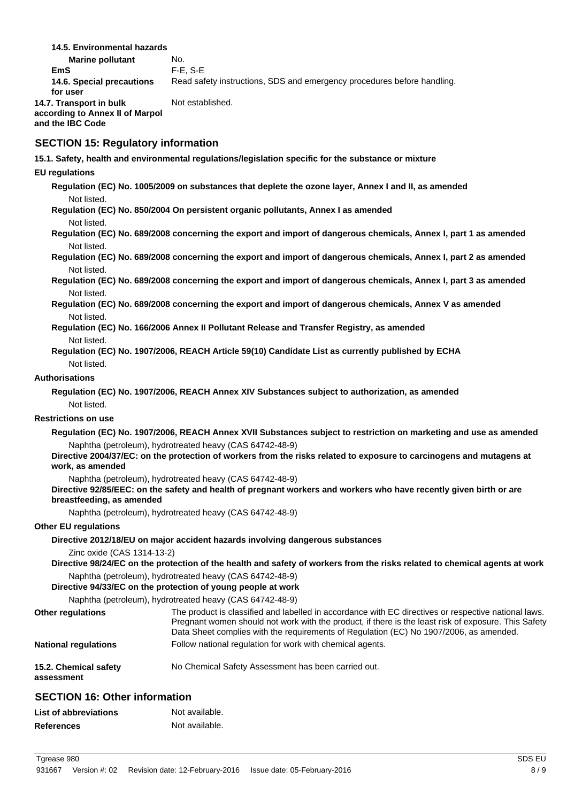**14.5. Environmental hazards**

**Marine pollutant** No. **EmS** F-E, S-E **14.6. Special precautions** Read safety instructions, SDS and emergency procedures before handling. **for user 14.7. Transport in bulk** Not established. **according to Annex II of Marpol and the IBC Code**

### **SECTION 15: Regulatory information**

**15.1. Safety, health and environmental regulations/legislation specific for the substance or mixture**

### **EU regulations**

**Regulation (EC) No. 1005/2009 on substances that deplete the ozone layer, Annex I and II, as amended** Not listed.

**Regulation (EC) No. 850/2004 On persistent organic pollutants, Annex I as amended** Not listed.

**Regulation (EC) No. 689/2008 concerning the export and import of dangerous chemicals, Annex I, part 1 as amended** Not listed.

**Regulation (EC) No. 689/2008 concerning the export and import of dangerous chemicals, Annex I, part 2 as amended** Not listed.

**Regulation (EC) No. 689/2008 concerning the export and import of dangerous chemicals, Annex I, part 3 as amended** Not listed.

**Regulation (EC) No. 689/2008 concerning the export and import of dangerous chemicals, Annex V as amended** Not listed.

- **Regulation (EC) No. 166/2006 Annex II Pollutant Release and Transfer Registry, as amended** Not listed.
- **Regulation (EC) No. 1907/2006, REACH Article 59(10) Candidate List as currently published by ECHA** Not listed.

### **Authorisations**

**Regulation (EC) No. 1907/2006, REACH Annex XIV Substances subject to authorization, as amended** Not listed.

### **Restrictions on use**

**Regulation (EC) No. 1907/2006, REACH Annex XVII Substances subject to restriction on marketing and use as amended** Naphtha (petroleum), hydrotreated heavy (CAS 64742-48-9)

**Directive 2004/37/EC: on the protection of workers from the risks related to exposure to carcinogens and mutagens at work, as amended**

Naphtha (petroleum), hydrotreated heavy (CAS 64742-48-9)

**Directive 92/85/EEC: on the safety and health of pregnant workers and workers who have recently given birth or are breastfeeding, as amended**

Naphtha (petroleum), hydrotreated heavy (CAS 64742-48-9)

### **Other EU regulations**

### **Directive 2012/18/EU on major accident hazards involving dangerous substances**

Zinc oxide (CAS 1314-13-2)

**Directive 98/24/EC on the protection of the health and safety of workers from the risks related to chemical agents at work** Naphtha (petroleum), hydrotreated heavy (CAS 64742-48-9)

**Directive 94/33/EC on the protection of young people at work**

Naphtha (petroleum), hydrotreated heavy (CAS 64742-48-9)

| <b>Other regulations</b>            | The product is classified and labelled in accordance with EC directives or respective national laws.<br>Pregnant women should not work with the product, if there is the least risk of exposure. This Safety<br>Data Sheet complies with the requirements of Regulation (EC) No 1907/2006, as amended. |
|-------------------------------------|--------------------------------------------------------------------------------------------------------------------------------------------------------------------------------------------------------------------------------------------------------------------------------------------------------|
| <b>National regulations</b>         | Follow national regulation for work with chemical agents.                                                                                                                                                                                                                                              |
| 15.2. Chemical safety<br>assessment | No Chemical Safety Assessment has been carried out.                                                                                                                                                                                                                                                    |

## **SECTION 16: Other information**

| <b>List of abbreviations</b> | Not available. |
|------------------------------|----------------|
| <b>References</b>            | Not available. |